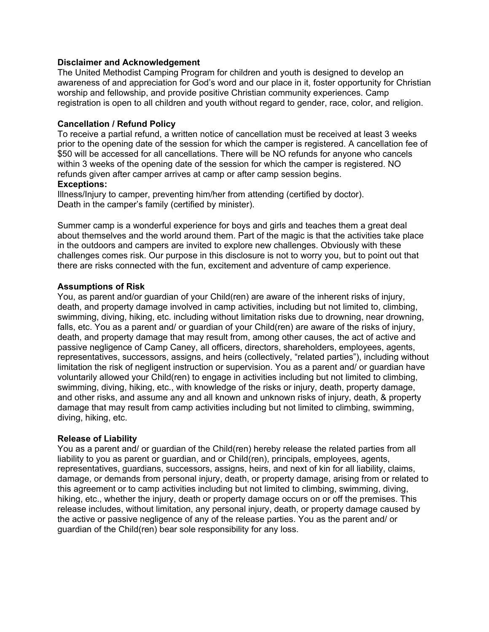## **Disclaimer and Acknowledgement**

The United Methodist Camping Program for children and youth is designed to develop an awareness of and appreciation for God's word and our place in it, foster opportunity for Christian worship and fellowship, and provide positive Christian community experiences. Camp registration is open to all children and youth without regard to gender, race, color, and religion.

### **Cancellation / Refund Policy**

To receive a partial refund, a written notice of cancellation must be received at least 3 weeks prior to the opening date of the session for which the camper is registered. A cancellation fee of \$50 will be accessed for all cancellations. There will be NO refunds for anyone who cancels within 3 weeks of the opening date of the session for which the camper is registered. NO refunds given after camper arrives at camp or after camp session begins. **Exceptions:**

Illness/Injury to camper, preventing him/her from attending (certified by doctor). Death in the camper's family (certified by minister).

Summer camp is a wonderful experience for boys and girls and teaches them a great deal about themselves and the world around them. Part of the magic is that the activities take place in the outdoors and campers are invited to explore new challenges. Obviously with these challenges comes risk. Our purpose in this disclosure is not to worry you, but to point out that there are risks connected with the fun, excitement and adventure of camp experience.

## **Assumptions of Risk**

You, as parent and/or guardian of your Child(ren) are aware of the inherent risks of injury, death, and property damage involved in camp activities, including but not limited to, climbing, swimming, diving, hiking, etc. including without limitation risks due to drowning, near drowning, falls, etc. You as a parent and/ or guardian of your Child(ren) are aware of the risks of injury, death, and property damage that may result from, among other causes, the act of active and passive negligence of Camp Caney, all officers, directors, shareholders, employees, agents, representatives, successors, assigns, and heirs (collectively, "related parties"), including without limitation the risk of negligent instruction or supervision. You as a parent and/ or guardian have voluntarily allowed your Child(ren) to engage in activities including but not limited to climbing, swimming, diving, hiking, etc., with knowledge of the risks or injury, death, property damage, and other risks, and assume any and all known and unknown risks of injury, death, & property damage that may result from camp activities including but not limited to climbing, swimming, diving, hiking, etc.

#### **Release of Liability**

You as a parent and/ or guardian of the Child(ren) hereby release the related parties from all liability to you as parent or guardian, and or Child(ren), principals, employees, agents, representatives, guardians, successors, assigns, heirs, and next of kin for all liability, claims, damage, or demands from personal injury, death, or property damage, arising from or related to this agreement or to camp activities including but not limited to climbing, swimming, diving, hiking, etc., whether the injury, death or property damage occurs on or off the premises. This release includes, without limitation, any personal injury, death, or property damage caused by the active or passive negligence of any of the release parties. You as the parent and/ or guardian of the Child(ren) bear sole responsibility for any loss.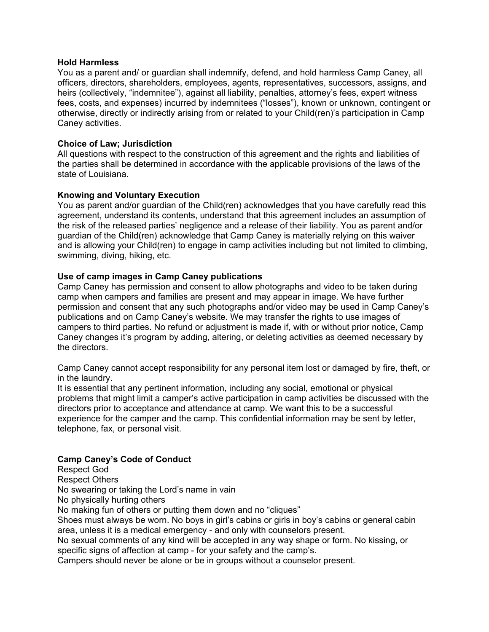#### **Hold Harmless**

You as a parent and/ or guardian shall indemnify, defend, and hold harmless Camp Caney, all officers, directors, shareholders, employees, agents, representatives, successors, assigns, and heirs (collectively, "indemnitee"), against all liability, penalties, attorney's fees, expert witness fees, costs, and expenses) incurred by indemnitees ("losses"), known or unknown, contingent or otherwise, directly or indirectly arising from or related to your Child(ren)'s participation in Camp Caney activities.

# **Choice of Law; Jurisdiction**

All questions with respect to the construction of this agreement and the rights and liabilities of the parties shall be determined in accordance with the applicable provisions of the laws of the state of Louisiana.

## **Knowing and Voluntary Execution**

You as parent and/or guardian of the Child(ren) acknowledges that you have carefully read this agreement, understand its contents, understand that this agreement includes an assumption of the risk of the released parties' negligence and a release of their liability. You as parent and/or guardian of the Child(ren) acknowledge that Camp Caney is materially relying on this waiver and is allowing your Child(ren) to engage in camp activities including but not limited to climbing, swimming, diving, hiking, etc.

## **Use of camp images in Camp Caney publications**

Camp Caney has permission and consent to allow photographs and video to be taken during camp when campers and families are present and may appear in image. We have further permission and consent that any such photographs and/or video may be used in Camp Caney's publications and on Camp Caney's website. We may transfer the rights to use images of campers to third parties. No refund or adjustment is made if, with or without prior notice, Camp Caney changes it's program by adding, altering, or deleting activities as deemed necessary by the directors.

Camp Caney cannot accept responsibility for any personal item lost or damaged by fire, theft, or in the laundry.

It is essential that any pertinent information, including any social, emotional or physical problems that might limit a camper's active participation in camp activities be discussed with the directors prior to acceptance and attendance at camp. We want this to be a successful experience for the camper and the camp. This confidential information may be sent by letter, telephone, fax, or personal visit.

# **Camp Caney's Code of Conduct**

Respect God Respect Others No swearing or taking the Lord's name in vain No physically hurting others No making fun of others or putting them down and no "cliques" Shoes must always be worn. No boys in girl's cabins or girls in boy's cabins or general cabin area, unless it is a medical emergency - and only with counselors present. No sexual comments of any kind will be accepted in any way shape or form. No kissing, or specific signs of affection at camp - for your safety and the camp's. Campers should never be alone or be in groups without a counselor present.